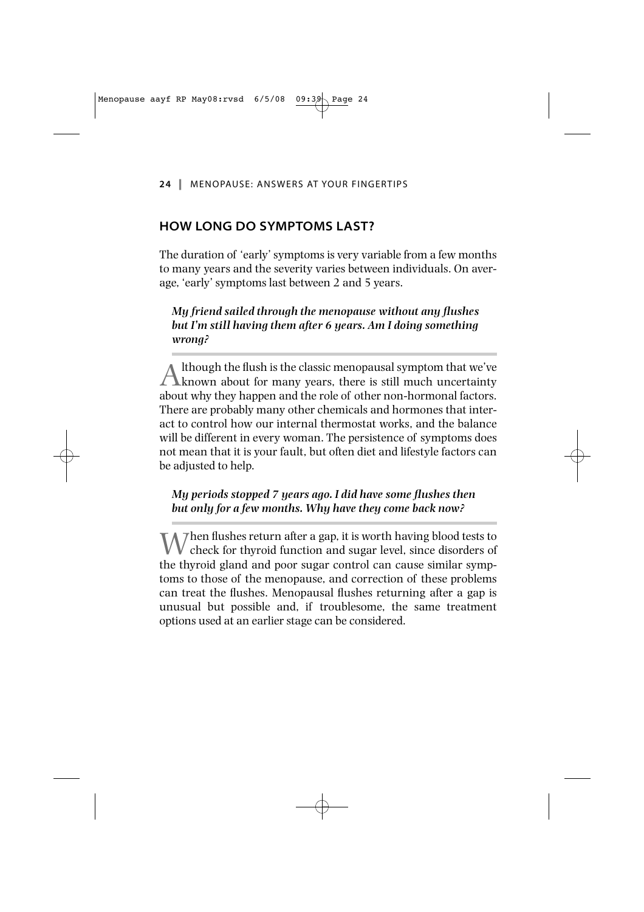# **HOW LONG DO SYMPTOMS LAST?**

The duration of 'early' symptoms is very variable from a few months to many years and the severity varies between individuals. On average, 'early' symptoms last between 2 and 5 years.

*My friend sailed through the menopause without any flushes but I'm still having them after 6 years. Am I doing something wrong?*

Although the flush is the classic menopausal symptom that we've known about for many years, there is still much uncertainty about why they happen and the role of other non-hormonal factors. There are probably many other chemicals and hormones that interact to control how our internal thermostat works, and the balance will be different in every woman. The persistence of symptoms does not mean that it is your fault, but often diet and lifestyle factors can be adjusted to help.

*My periods stopped 7 years ago. I did have some flushes then but only for a few months. Why have they come back now?*

 $\blacksquare$  A 7 hen flushes return after a gap, it is worth having blood tests to check for thyroid function and sugar level, since disorders of the thyroid gland and poor sugar control can cause similar symptoms to those of the menopause, and correction of these problems can treat the flushes. Menopausal flushes returning after a gap is unusual but possible and, if troublesome, the same treatment options used at an earlier stage can be considered.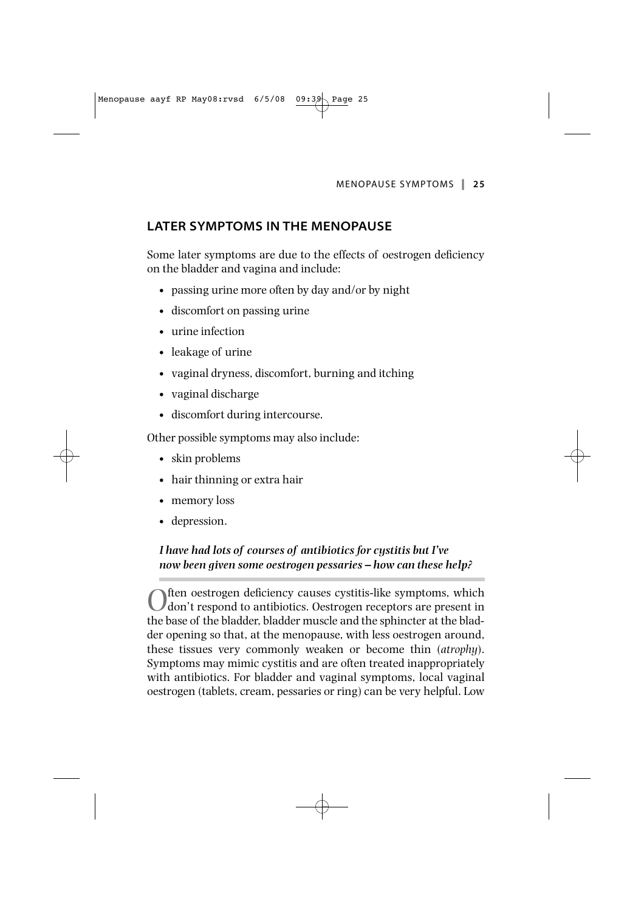# **LATER SYMPTOMS IN THE MENOPAUSE**

Some later symptoms are due to the effects of oestrogen deficiency on the bladder and vagina and include:

- **•** passing urine more often by day and/or by night
- **•** discomfort on passing urine
- **•** urine infection
- **•** leakage of urine
- **•** vaginal dryness, discomfort, burning and itching
- **•** vaginal discharge
- **•** discomfort during intercourse.

Other possible symptoms may also include:

- **•** skin problems
- **•** hair thinning or extra hair
- **•** memory loss
- **•** depression.

## *I have had lots of courses of antibiotics for cystitis but I've now been given some oestrogen pessaries – how can these help?*

Often oestrogen deficiency causes cystitis-like symptoms, which don't respond to antibiotics. Oestrogen receptors are present in the base of the bladder, bladder muscle and the sphincter at the bladder opening so that, at the menopause, with less oestrogen around, these tissues very commonly weaken or become thin (*atrophy*). Symptoms may mimic cystitis and are often treated inappropriately with antibiotics. For bladder and vaginal symptoms, local vaginal oestrogen (tablets, cream, pessaries or ring) can be very helpful. Low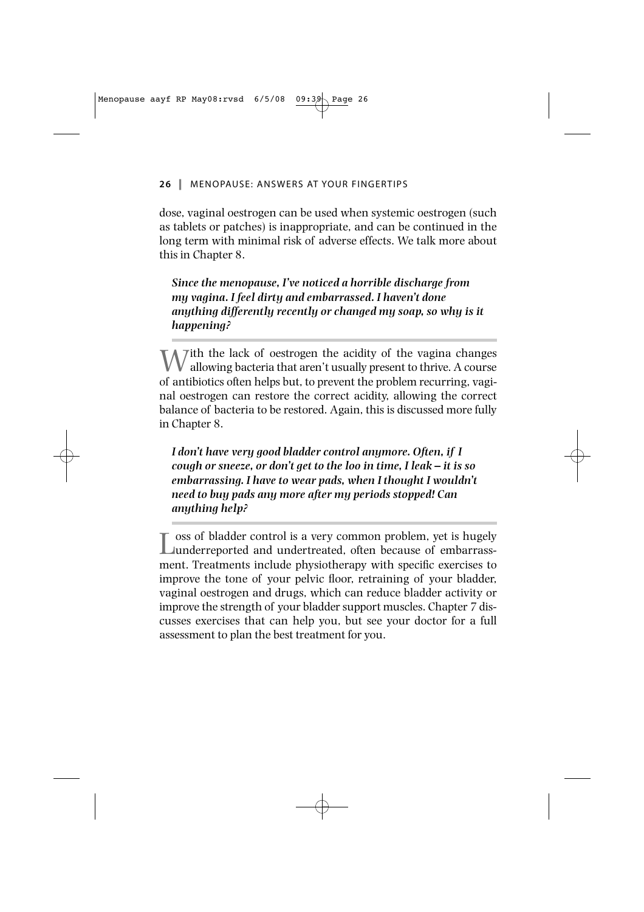#### **<sup>26</sup> |** MENOPAUSE: ANSWERS AT YOUR FINGERTIPS

dose, vaginal oestrogen can be used when systemic oestrogen (such as tablets or patches) is inappropriate, and can be continued in the long term with minimal risk of adverse effects. We talk more about this in Chapter 8.

*Since the menopause, I've noticed a horrible discharge from my vagina. I feel dirty and embarrassed. I haven't done anything differently recently or changed my soap, so why is it happening?*

 $\blacksquare$   $\blacktriangle$  7ith the lack of oestrogen the acidity of the vagina changes allowing bacteria that aren't usually present to thrive. A course of antibiotics often helps but, to prevent the problem recurring, vaginal oestrogen can restore the correct acidity, allowing the correct balance of bacteria to be restored. Again, this is discussed more fully in Chapter 8.

*I don't have very good bladder control anymore. Often, if I cough or sneeze, or don't get to the loo in time, I leak – it is so embarrassing. I have to wear pads, when I thought I wouldn't need to buy pads any more after my periods stopped! Can anything help?*

 $\Gamma$  oss of bladder control is a very common problem, yet is hugely underreported and undertreated, often because of embarrassment. Treatments include physiotherapy with specific exercises to improve the tone of your pelvic floor, retraining of your bladder, vaginal oestrogen and drugs, which can reduce bladder activity or improve the strength of your bladder support muscles. Chapter 7 discusses exercises that can help you, but see your doctor for a full assessment to plan the best treatment for you.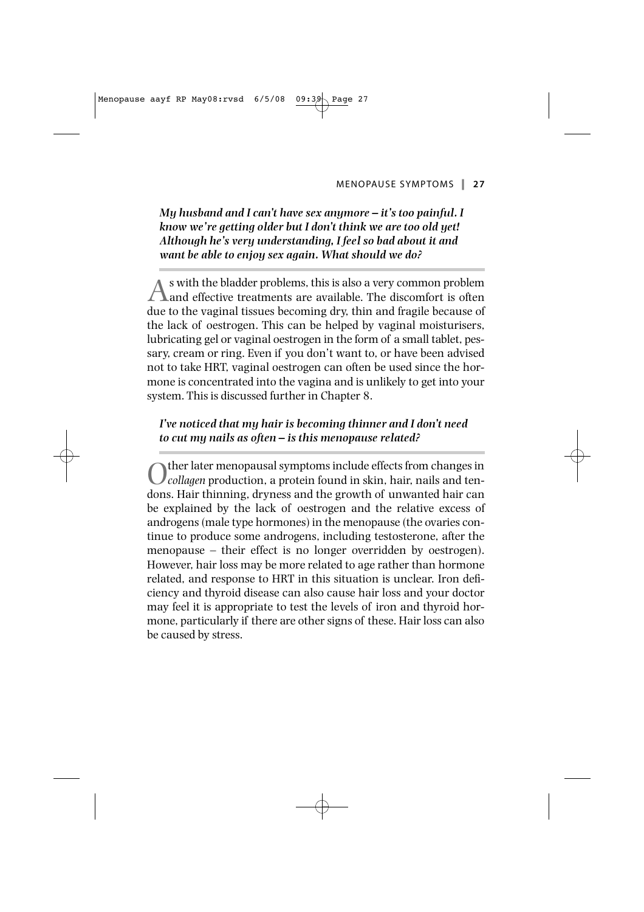*My husband and I can't have sex anymore – it's too painful. I know we're getting older but I don't think we are too old yet! Although he's very understanding, I feel so bad about it and want be able to enjoy sex again. What should we do?*

s with the bladder problems, this is also a very common problem and effective treatments are available. The discomfort is often due to the vaginal tissues becoming dry, thin and fragile because of the lack of oestrogen. This can be helped by vaginal moisturisers, lubricating gel or vaginal oestrogen in the form of a small tablet, pessary, cream or ring. Even if you don't want to, or have been advised not to take HRT, vaginal oestrogen can often be used since the hormone is concentrated into the vagina and is unlikely to get into your system. This is discussed further in Chapter 8.

## *I've noticed that my hair is becoming thinner and I don't need to cut my nails as often – is this menopause related?*

Other later menopausal symptoms include effects from changes in *collagen* production, a protein found in skin, hair, nails and tendons. Hair thinning, dryness and the growth of unwanted hair can be explained by the lack of oestrogen and the relative excess of androgens (male type hormones) in the menopause (the ovaries continue to produce some androgens, including testosterone, after the menopause – their effect is no longer overridden by oestrogen). However, hair loss may be more related to age rather than hormone related, and response to HRT in this situation is unclear. Iron deficiency and thyroid disease can also cause hair loss and your doctor may feel it is appropriate to test the levels of iron and thyroid hormone, particularly if there are other signs of these. Hair loss can also be caused by stress.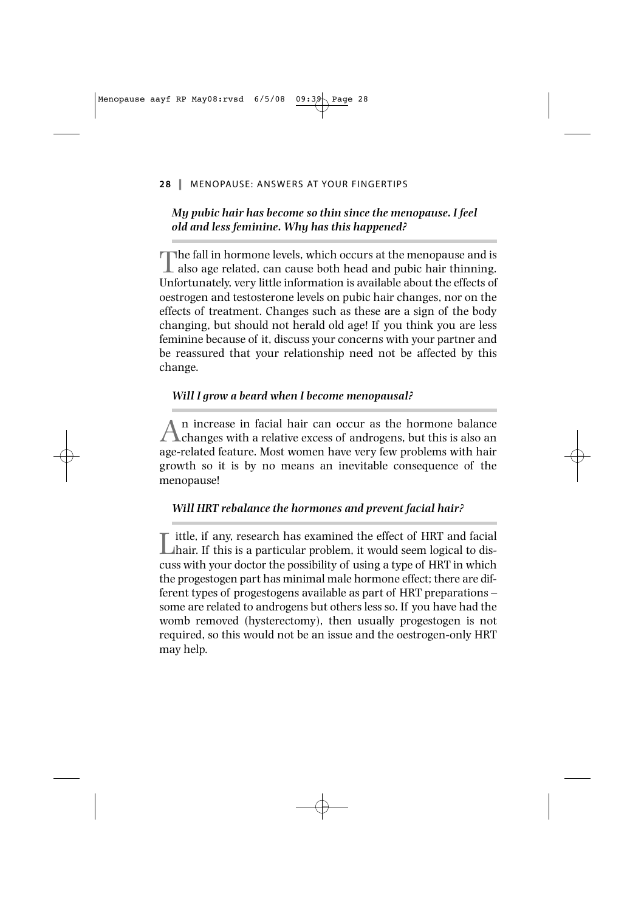#### **<sup>28</sup> |** MENOPAUSE: ANSWERS AT YOUR FINGERTIPS

## *My pubic hair has become so thin since the menopause. I feel old and less feminine. Why has this happened?*

The fall in hormone levels, which occurs at the menopause and is also age related, can cause both head and pubic hair thinning. Unfortunately, very little information is available about the effects of oestrogen and testosterone levels on pubic hair changes, nor on the effects of treatment. Changes such as these are a sign of the body changing, but should not herald old age! If you think you are less feminine because of it, discuss your concerns with your partner and be reassured that your relationship need not be affected by this change.

### *Will I grow a beard when I become menopausal?*

An increase in facial hair can occur as the hormone balance<br>changes with a relative excess of androgens, but this is also an age-related feature. Most women have very few problems with hair growth so it is by no means an inevitable consequence of the menopause!

### *Will HRT rebalance the hormones and prevent facial hair?*

Little, if any, research has examined the effect of HRT and facial hair. If this is a particular problem, it would seem logical to discuss with your doctor the possibility of using a type of HRT in which the progestogen part has minimal male hormone effect; there are different types of progestogens available as part of HRT preparations – some are related to androgens but others less so. If you have had the womb removed (hysterectomy), then usually progestogen is not required, so this would not be an issue and the oestrogen-only HRT may help.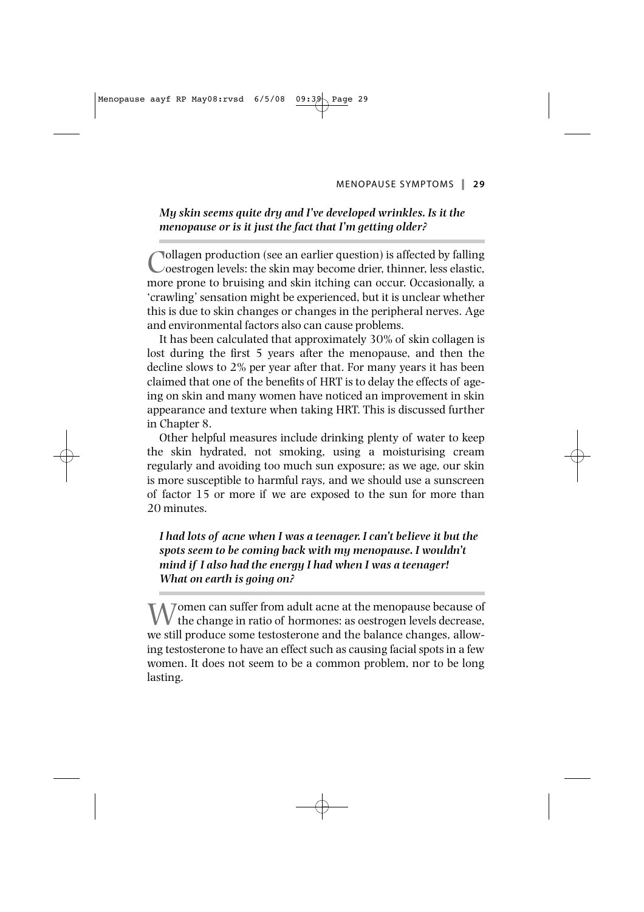*My skin seems quite dry and I've developed wrinkles. Is it the menopause or is it just the fact that I'm getting older?*

Collagen production (see an earlier question) is affected by falling oestrogen levels: the skin may become drier, thinner, less elastic, more prone to bruising and skin itching can occur. Occasionally, a 'crawling' sensation might be experienced, but it is unclear whether this is due to skin changes or changes in the peripheral nerves. Age and environmental factors also can cause problems.

It has been calculated that approximately 30% of skin collagen is lost during the first 5 years after the menopause, and then the decline slows to 2% per year after that. For many years it has been claimed that one of the benefits of HRT is to delay the effects of ageing on skin and many women have noticed an improvement in skin appearance and texture when taking HRT. This is discussed further in Chapter 8.

Other helpful measures include drinking plenty of water to keep the skin hydrated, not smoking, using a moisturising cream regularly and avoiding too much sun exposure; as we age, our skin is more susceptible to harmful rays, and we should use a sunscreen of factor 15 or more if we are exposed to the sun for more than 20 minutes.

*I had lots of acne when I was a teenager. I can't believe it but the spots seem to be coming back with my menopause. I wouldn't mind if I also had the energy I had when I was a teenager! What on earth is going on?*

Tomen can suffer from adult acne at the menopause because of the change in ratio of hormones: as oestrogen levels decrease, we still produce some testosterone and the balance changes, allowing testosterone to have an effect such as causing facial spots in a few women. It does not seem to be a common problem, nor to be long lasting.